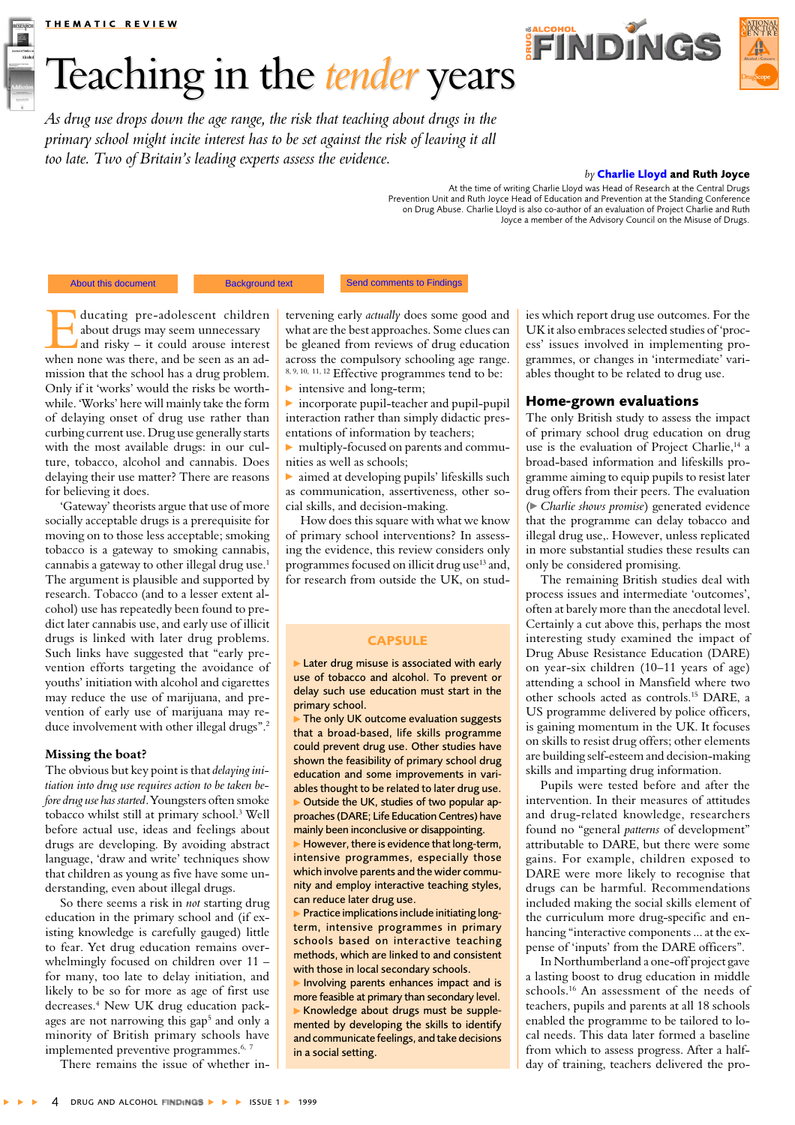#### **THEMATIC REVIEW**

# Teaching in the tender years

**FINDINGS** 



As drug use drops down the age range, the risk that teaching about drugs in the primary school might incite interest has to be set against the risk of leaving it all too late. Two of Britain's leading experts assess the evidence.

#### by Charlie Lloyd and Ruth Joyce

At the time of writing Charlie Lloyd was Head of Research at the Central Drugs Prevention Unit and Ruth Joyce Head of Education and Prevention at the Standing Conference on Drug Abuse. Charlie Lloyd is also co-author of an evaluation of Project Charlie and Ruth Joyce a member of the Advisory Council on the Misuse of Drugs.

© Drug and Algobol Eindings and the authors

**Background text** 

Send comments to Findings

ducating pre-adolescent children about drugs may seem unnecessary and risky - it could arouse interest when none was there, and be seen as an admission that the school has a drug problem. Only if it 'works' would the risks be worthwhile. 'Works' here will mainly take the form of delaying onset of drug use rather than curbing current use. Drug use generally starts with the most available drugs: in our culture, tobacco, alcohol and cannabis. Does delaying their use matter? There are reasons for believing it does.

'Gateway' theorists argue that use of more socially acceptable drugs is a prerequisite for moving on to those less acceptable; smoking tobacco is a gateway to smoking cannabis, cannabis a gateway to other illegal drug use.<sup>1</sup> The argument is plausible and supported by research. Tobacco (and to a lesser extent alcohol) use has repeatedly been found to predict later cannabis use, and early use of illicit drugs is linked with later drug problems. Such links have suggested that "early prevention efforts targeting the avoidance of vouths' initiation with alcohol and cigarettes may reduce the use of marijuana, and prevention of early use of marijuana may reduce involvement with other illegal drugs".<sup>2</sup>

## Missing the boat?

The obvious but key point is that delaying initiation into drug use requires action to be taken before drug use has started. Youngsters often smoke tobacco whilst still at primary school.<sup>3</sup> Well before actual use, ideas and feelings about drugs are developing. By avoiding abstract language, 'draw and write' techniques show that children as young as five have some understanding, even about illegal drugs.

So there seems a risk in *not* starting drug education in the primary school and (if existing knowledge is carefully gauged) little to fear. Yet drug education remains overwhelmingly focused on children over 11 for many, too late to delay initiation, and likely to be so for more as age of first use decreases.<sup>4</sup> New UK drug education packages are not narrowing this gap<sup>5</sup> and only a minority of British primary schools have implemented preventive programmes.<sup>6, 7</sup>

There remains the issue of whether in-

tervening early *actually* does some good and what are the best approaches. Some clues can be gleaned from reviews of drug education across the compulsory schooling age range. 8, 9, 10, 11, 12 Effective programmes tend to be:

 $\blacktriangleright$  intensive and long-term;

 $\triangleright$  incorporate pupil-teacher and pupil-pupil interaction rather than simply didactic presentations of information by teachers;

multiply-focused on parents and communities as well as schools;

 $\blacktriangleright$  aimed at developing pupils' lifeskills such as communication, assertiveness, other social skills, and decision-making.

How does this square with what we know of primary school interventions? In assessing the evidence, this review considers only programmes focused on illicit drug use<sup>13</sup> and, for research from outside the UK, on stud-

## **CAPSULE**

Later drug misuse is associated with early use of tobacco and alcohol. To prevent or delay such use education must start in the primary school.

The only UK outcome evaluation suggests that a broad-based, life skills programme could prevent drug use. Other studies have shown the feasibility of primary school drug education and some improvements in variables thought to be related to later drug use. Outside the UK, studies of two popular approaches (DARE; Life Education Centres) have mainly been inconclusive or disappointing.

However, there is evidence that long-term, intensive programmes, especially those which involve parents and the wider community and employ interactive teaching styles, can reduce later drug use.

> Practice implications include initiating longterm, intensive programmes in primary schools based on interactive teaching methods, which are linked to and consistent with those in local secondary schools.

Involving parents enhances impact and is more feasible at primary than secondary level. Knowledge about drugs must be supplemented by developing the skills to identify and communicate feelings, and take decisions in a social setting.

ies which report drug use outcomes. For the UK it also embraces selected studies of 'process' issues involved in implementing programmes, or changes in 'intermediate' variables thought to be related to drug use.

## Home-grown evaluations

The only British study to assess the impact of primary school drug education on drug use is the evaluation of Project Charlie,<sup>14</sup> a broad-based information and lifeskills programme aiming to equip pupils to resist later drug offers from their peers. The evaluation (► Charlie shows promise) generated evidence that the programme can delay tobacco and illegal drug use,. However, unless replicated in more substantial studies these results can only be considered promising.

The remaining British studies deal with process issues and intermediate 'outcomes'. often at barely more than the anecdotal level. Certainly a cut above this, perhaps the most interesting study examined the impact of Drug Abuse Resistance Education (DARE) on year-six children (10-11 years of age) attending a school in Mansfield where two other schools acted as controls.<sup>15</sup> DARE, a US programme delivered by police officers, is gaining momentum in the UK. It focuses on skills to resist drug offers; other elements are building self-esteem and decision-making skills and imparting drug information.

Pupils were tested before and after the intervention. In their measures of attitudes and drug-related knowledge, researchers found no "general patterns of development" attributable to DARE, but there were some gains. For example, children exposed to DARE were more likely to recognise that drugs can be harmful. Recommendations included making the social skills element of the curriculum more drug-specific and enhancing "interactive components ... at the expense of 'inputs' from the DARE officers".

In Northumberland a one-off project gave a lasting boost to drug education in middle schools.<sup>16</sup> An assessment of the needs of teachers, pupils and parents at all 18 schools enabled the programme to be tailored to local needs. This data later formed a baseline from which to assess progress. After a halfday of training, teachers delivered the pro-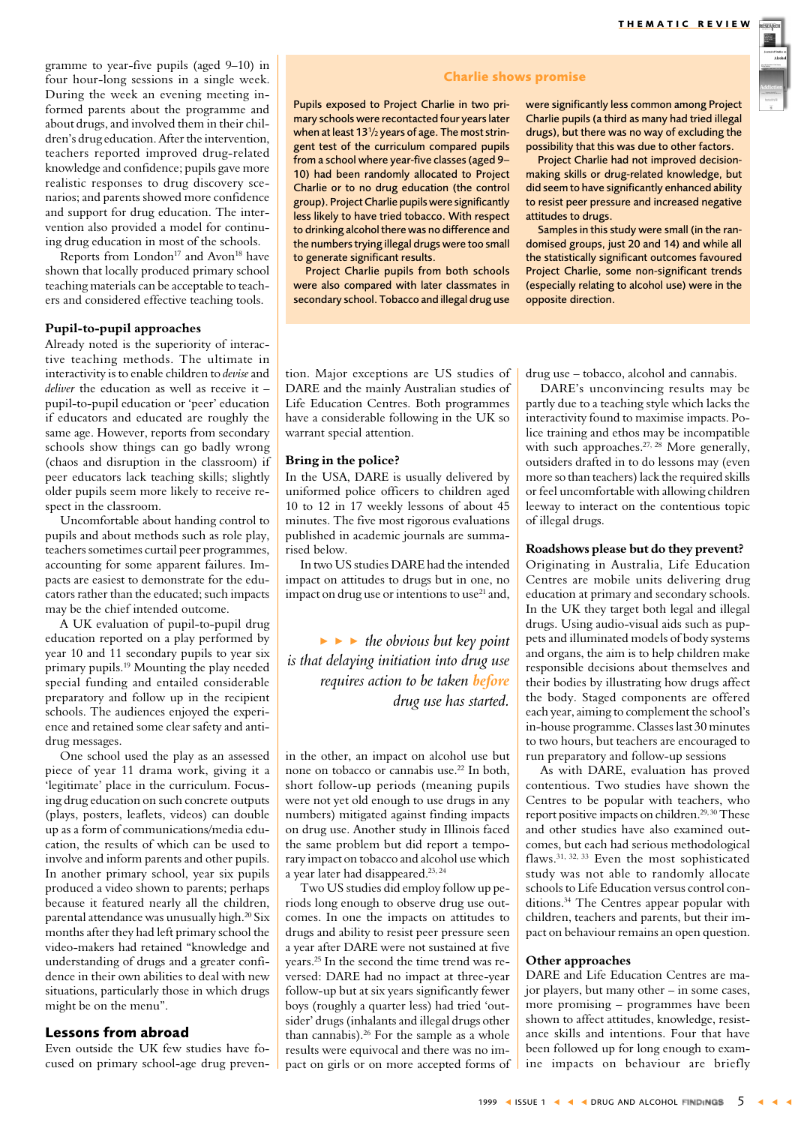

gramme to year-five pupils (aged 9-10) in four hour-long sessions in a single week. During the week an evening meeting informed parents about the programme and about drugs, and involved them in their children's drug education. After the intervention, teachers reported improved drug-related knowledge and confidence; pupils gave more realistic responses to drug discovery scenarios; and parents showed more confidence and support for drug education. The intervention also provided a model for continuing drug education in most of the schools.

Reports from London<sup>17</sup> and Avon<sup>18</sup> have shown that locally produced primary school teaching materials can be acceptable to teachers and considered effective teaching tools.

## Pupil-to-pupil approaches

Already noted is the superiority of interactive teaching methods. The ultimate in interactivity is to enable children to devise and deliver the education as well as receive it  $$ pupil-to-pupil education or 'peer' education if educators and educated are roughly the same age. However, reports from secondary schools show things can go badly wrong (chaos and disruption in the classroom) if peer educators lack teaching skills; slightly older pupils seem more likely to receive respect in the classroom.

Uncomfortable about handing control to pupils and about methods such as role play, teachers sometimes curtail peer programmes, accounting for some apparent failures. Impacts are easiest to demonstrate for the educators rather than the educated: such impacts may be the chief intended outcome.

A UK evaluation of pupil-to-pupil drug education reported on a play performed by year 10 and 11 secondary pupils to year six primary pupils.<sup>19</sup> Mounting the play needed special funding and entailed considerable preparatory and follow up in the recipient schools. The audiences enjoyed the experience and retained some clear safety and antidrug messages.

One school used the play as an assessed piece of year 11 drama work, giving it a 'legitimate' place in the curriculum. Focusing drug education on such concrete outputs (plays, posters, leaflets, videos) can double up as a form of communications/media education, the results of which can be used to involve and inform parents and other pupils. In another primary school, year six pupils produced a video shown to parents; perhaps because it featured nearly all the children. parental attendance was unusually high.<sup>20</sup> Six months after they had left primary school the video-makers had retained "knowledge and understanding of drugs and a greater confidence in their own abilities to deal with new situations, particularly those in which drugs might be on the menu".

## **Lessons from abroad**

Even outside the UK few studies have focused on primary school-age drug preven-

## **Charlie shows promise**

Pupils exposed to Project Charlie in two primary schools were recontacted four years later when at least 13<sup>1</sup>/<sub>2</sub> years of age. The most stringent test of the curriculum compared pupils from a school where year-five classes (aged 9-10) had been randomly allocated to Project Charlie or to no drug education (the control group). Project Charlie pupils were significantly less likely to have tried tobacco. With respect to drinking alcohol there was no difference and the numbers trying illegal drugs were too small to generate significant results.

Project Charlie pupils from both schools were also compared with later classmates in secondary school. Tobacco and illegal drug use

were significantly less common among Project Charlie pupils (a third as many had tried illegal drugs), but there was no way of excluding the possibility that this was due to other factors.

Project Charlie had not improved decisionmaking skills or drug-related knowledge, but did seem to have significantly enhanced ability to resist peer pressure and increased negative attitudes to drugs.

Samples in this study were small (in the randomised groups, just 20 and 14) and while all the statistically significant outcomes favoured Project Charlie, some non-significant trends (especially relating to alcohol use) were in the opposite direction.

tion. Major exceptions are US studies of DARE and the mainly Australian studies of Life Education Centres. Both programmes have a considerable following in the UK so warrant special attention.

#### Bring in the police?

In the USA, DARE is usually delivered by uniformed police officers to children aged 10 to 12 in 17 weekly lessons of about 45 minutes. The five most rigorous evaluations published in academic journals are summarised below.

In two US studies DARE had the intended impact on attitudes to drugs but in one, no impact on drug use or intentions to use<sup>21</sup> and.

 $\blacktriangleright \blacktriangleright$  the obvious but key point is that delaying initiation into drug use requires action to be taken **before** drug use has started.

in the other, an impact on alcohol use but none on tobacco or cannabis use.<sup>22</sup> In both, short follow-up periods (meaning pupils were not yet old enough to use drugs in any numbers) mitigated against finding impacts on drug use. Another study in Illinois faced the same problem but did report a temporary impact on tobacco and alcohol use which a year later had disappeared.<sup>23, 24</sup>

Two US studies did employ follow up periods long enough to observe drug use outcomes. In one the impacts on attitudes to drugs and ability to resist peer pressure seen a year after DARE were not sustained at five years.<sup>25</sup> In the second the time trend was reversed: DARE had no impact at three-year follow-up but at six years significantly fewer boys (roughly a quarter less) had tried 'outsider' drugs (inhalants and illegal drugs other than cannabis).<sup>26</sup> For the sample as a whole results were equivocal and there was no impact on girls or on more accepted forms of drug use – tobacco, alcohol and cannabis.

DARE's unconvincing results may be partly due to a teaching style which lacks the interactivity found to maximise impacts. Police training and ethos may be incompatible with such approaches.<sup>27, 28</sup> More generally, outsiders drafted in to do lessons may (even more so than teachers) lack the required skills or feel uncomfortable with allowing children leeway to interact on the contentious topic of illegal drugs.

## Roadshows please but do they prevent?

Originating in Australia, Life Education Centres are mobile units delivering drug education at primary and secondary schools. In the UK they target both legal and illegal drugs. Using audio-visual aids such as puppets and illuminated models of body systems and organs, the aim is to help children make responsible decisions about themselves and their bodies by illustrating how drugs affect the body. Staged components are offered each year, aiming to complement the school's in-house programme. Classes last 30 minutes to two hours, but teachers are encouraged to run preparatory and follow-up sessions

As with DARE, evaluation has proved contentious. Two studies have shown the Centres to be popular with teachers, who report positive impacts on children.<sup>29,30</sup> These and other studies have also examined outcomes, but each had serious methodological flaws.<sup>31, 32, 33</sup> Even the most sophisticated study was not able to randomly allocate schools to Life Education versus control conditions.<sup>34</sup> The Centres appear popular with children, teachers and parents, but their impact on behaviour remains an open question.

#### Other approaches

DARE and Life Education Centres are major players, but many other  $-$  in some cases, more promising – programmes have been shown to affect attitudes, knowledge, resistance skills and intentions. Four that have been followed up for long enough to examine impacts on behaviour are briefly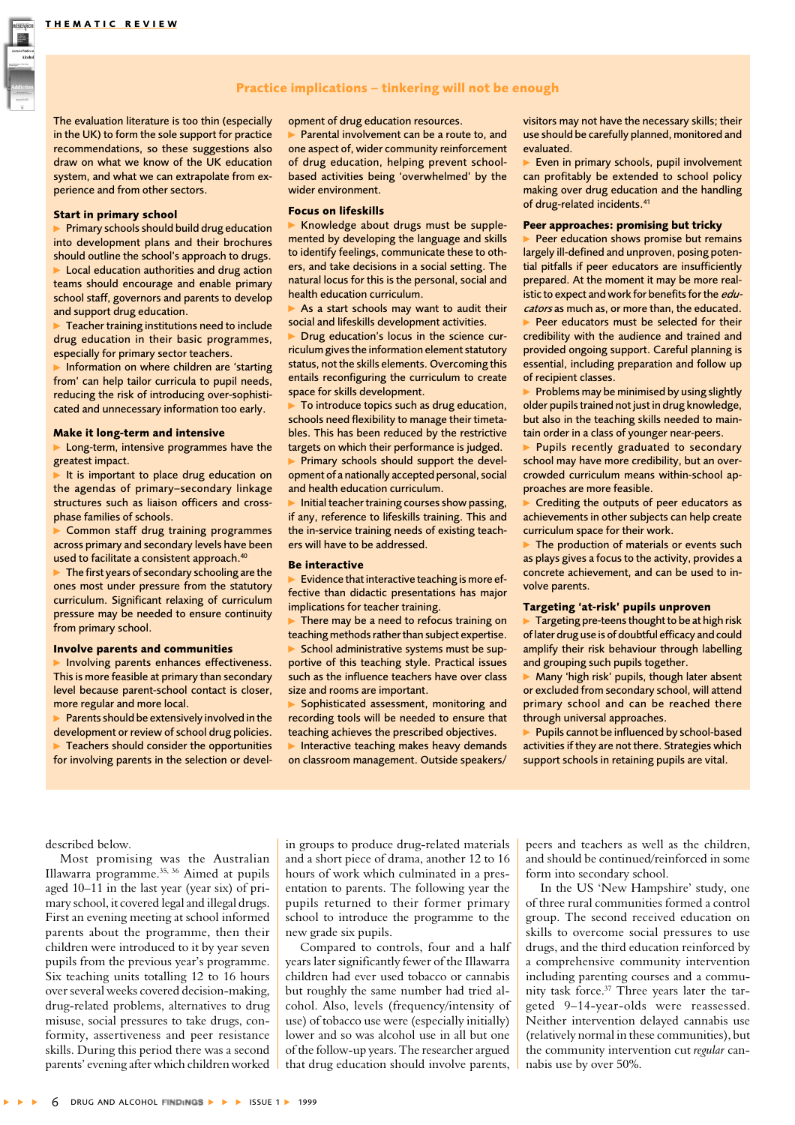

The evaluation literature is too thin (especially in the UK) to form the sole support for practice recommendations, so these suggestions also draw on what we know of the UK education system, and what we can extrapolate from experience and from other sectors.

#### **Start in primary school**

 $\triangleright$  Primary schools should build drug education into development plans and their brochures should outline the school's approach to drugs. Local education authorities and drug action teams should encourage and enable primary school staff, governors and parents to develop and support drug education.

Teacher training institutions need to include drug education in their basic programmes, especially for primary sector teachers.

Information on where children are 'starting from' can help tailor curricula to pupil needs, reducing the risk of introducing over-sophisticated and unnecessary information too early.

#### Make it long-term and intensive

Long-term, intensive programmes have the greatest impact.

It is important to place drug education on the agendas of primary-secondary linkage structures such as liaison officers and crossphase families of schools.

Common staff drug training programmes across primary and secondary levels have been used to facilitate a consistent approach.<sup>40</sup>

 $\blacktriangleright$  The first years of secondary schooling are the ones most under pressure from the statutory curriculum. Significant relaxing of curriculum pressure may be needed to ensure continuity from primary school.

#### **Involve parents and communities**

Involving parents enhances effectiveness. This is more feasible at primary than secondary level because parent-school contact is closer, more regular and more local.

Parents should be extensively involved in the development or review of school drug policies. Teachers should consider the opportunities for involving parents in the selection or development of drug education resources.

Parental involvement can be a route to, and one aspect of, wider community reinforcement of drug education, helping prevent schoolbased activities being 'overwhelmed' by the wider environment.

#### **Focus on lifeskills**

Knowledge about drugs must be supplemented by developing the language and skills to identify feelings, communicate these to others, and take decisions in a social setting. The natural locus for this is the personal, social and health education curriculum.

As a start schools may want to audit their social and lifeskills development activities.

Drug education's locus in the science curriculum gives the information element statutory status, not the skills elements. Overcoming this entails reconfiguring the curriculum to create space for skills development.

To introduce topics such as drug education, schools need flexibility to manage their timetables. This has been reduced by the restrictive targets on which their performance is judged.

Primary schools should support the development of a nationally accepted personal, social and health education curriculum.

Initial teacher training courses show passing, if any, reference to lifeskills training. This and the in-service training needs of existing teachers will have to be addressed.

#### **Be interactive**

Evidence that interactive teaching is more effective than didactic presentations has major implications for teacher training.

There may be a need to refocus training on teaching methods rather than subject expertise. School administrative systems must be supportive of this teaching style. Practical issues such as the influence teachers have over class size and rooms are important.

Sophisticated assessment, monitoring and recording tools will be needed to ensure that teaching achieves the prescribed objectives.

Interactive teaching makes heavy demands on classroom management. Outside speakers/

visitors may not have the necessary skills: their use should be carefully planned, monitored and evaluated

Even in primary schools, pupil involvement can profitably be extended to school policy making over drug education and the handling of drug-related incidents.<sup>41</sup>

#### Peer approaches: promising but tricky

Peer education shows promise but remains largely ill-defined and unproven, posing potential pitfalls if peer educators are insufficiently prepared. At the moment it may be more realistic to expect and work for benefits for the educators as much as, or more than, the educated.

Peer educators must be selected for their credibility with the audience and trained and provided ongoing support. Careful planning is essential, including preparation and follow up of recipient classes.

Problems may be minimised by using slightly older pupils trained not just in drug knowledge, but also in the teaching skills needed to maintain order in a class of younger near-peers.

Pupils recently graduated to secondary school may have more credibility, but an overcrowded curriculum means within-school approaches are more feasible.

Crediting the outputs of peer educators as achievements in other subjects can help create curriculum space for their work.

 $\blacktriangleright$  The production of materials or events such as plays gives a focus to the activity, provides a concrete achievement, and can be used to involve parents.

#### Targeting 'at-risk' pupils unproven

Targeting pre-teens thought to be at high risk of later drug use is of doubtful efficacy and could amplify their risk behaviour through labelling and grouping such pupils together.

Many 'high risk' pupils, though later absent or excluded from secondary school, will attend primary school and can be reached there through universal approaches.

Pupils cannot be influenced by school-based activities if they are not there. Strategies which support schools in retaining pupils are vital.

described below.

Most promising was the Australian Illawarra programme.<sup>35, 36</sup> Aimed at pupils aged  $10-11$  in the last year (year six) of primary school, it covered legal and illegal drugs. First an evening meeting at school informed parents about the programme, then their children were introduced to it by year seven pupils from the previous year's programme. Six teaching units totalling 12 to 16 hours over several weeks covered decision-making. drug-related problems, alternatives to drug misuse, social pressures to take drugs, conformity, assertiveness and peer resistance skills. During this period there was a second parents' evening after which children worked in groups to produce drug-related materials and a short piece of drama, another 12 to 16 hours of work which culminated in a presentation to parents. The following year the pupils returned to their former primary school to introduce the programme to the new grade six pupils.

Compared to controls, four and a half vears later significantly fewer of the Illawarra children had ever used tobacco or cannabis but roughly the same number had tried alcohol. Also, levels (frequency/intensity of use) of tobacco use were (especially initially) lower and so was alcohol use in all but one of the follow-up years. The researcher argued that drug education should involve parents,

peers and teachers as well as the children. and should be continued/reinforced in some form into secondary school.

In the US 'New Hampshire' study, one of three rural communities formed a control group. The second received education on skills to overcome social pressures to use drugs, and the third education reinforced by a comprehensive community intervention including parenting courses and a community task force.<sup>37</sup> Three years later the targeted 9-14-year-olds were reassessed. Neither intervention delayed cannabis use (relatively normal in these communities), but the community intervention cut regular cannabis use by over 50%.